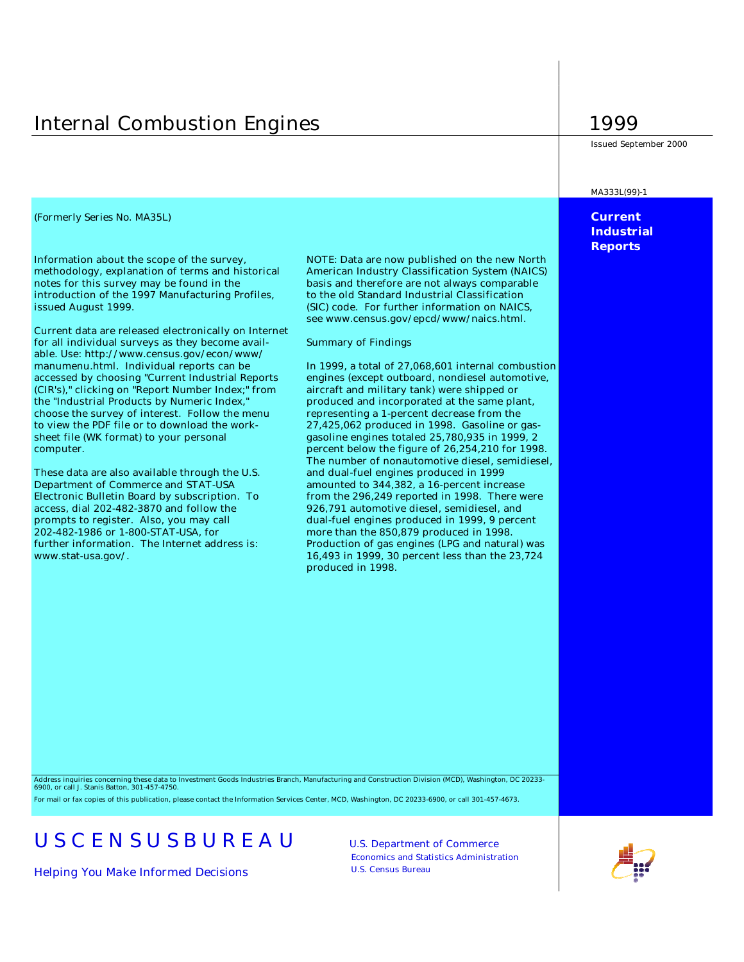# Internal Combustion Engines 1999

*(Formerly Series No. MA35L)* **Current** 

Information about the scope of the survey, NOTE: Data are now published on the new North methodology, explanation of terms and historical American Industry Classification System (NAICS) notes for this survey may be found in the basis and therefore are not always comparable introduction of the 1997 Manufacturing Profiles, to the old Standard Industrial Classification issued August 1999. (SIC) code. For further information on NAICS,

Current data are released electronically on Internet for all individual surveys as they become avail- Summary of Findings able. Use: http://www.census.gov/econ/www/ manumenu.html. Individual reports can be In 1999, a total of 27,068,601 internal combustion accessed by choosing "Current Industrial Reports engines (except outboard, nondiesel automotive, (CIR's)," clicking on "Report Number Index;" from aircraft and military tank) were shipped or the "Industrial Products by Numeric Index," produced and incorporated at the same plant, choose the survey of interest. Follow the menu representing a 1-percent decrease from the to view the PDF file or to download the work- 27,425,062 produced in 1998. Gasoline or gassheet file (WK format) to your personal gasoline engines totaled 25,780,935 in 1999, 2 computer. percent below the figure of 26,254,210 for 1998.

These data are also available through the U.S. and dual-fuel engines produced in 1999 Department of Commerce and STAT-USA amounted to 344,382, a 16-percent increase access, dial 202-482-3870 and follow the 926,791 automotive diesel, semidiesel, and 202-482-1986 or 1-800-STAT-USA, for more than the 850,879 produced in 1998.

see www.census.gov/epcd/www/naics.html.

The number of nonautomotive diesel, semidiesel, Electronic Bulletin Board by subscription. To from the 296,249 reported in 1998. There were prompts to register. Also, you may call dual-fuel engines produced in 1999, 9 percent further information. The Internet address is: Production of gas engines (LPG and natural) was www.stat-usa.gov/. 16,493 in 1999, 30 percent less than the 23,724 produced in 1998.

Issued September 2000

#### MA333L(99)-1

## **Industrial Reports**

Address inquiries concerning these data to Investment Goods Industries Branch, Manufacturing and Construction Division (MCD), Washington, DC 20233- 6900, or call J. Stanis Batton, 301-457-4750.

For mail or fax copies of this publication, please contact the Information Services Center, MCD, Washington, DC 20233-6900, or call 301-457-4673.

# USCENSUSBUREAU U.S. Department of Commerce

*Helping You Make Informed Decisions* U.S. Census Bureau

Economics and Statistics Administration

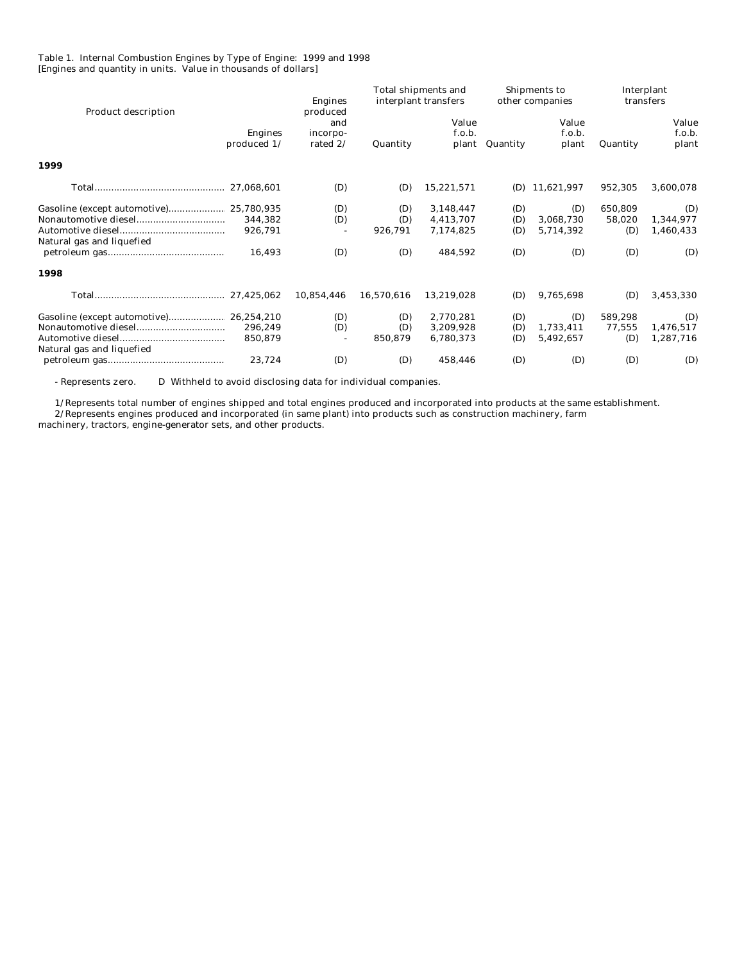#### Table 1. Internal Combustion Engines by Type of Engine: 1999 and 1998 [Engines and quantity in units. Value in thousands of dollars]

| <b>Product description</b>    | <b>Engines</b><br>produced  |            | Total shipments and<br>interplant transfers |          | Shipments to<br>other companies |          | Interplant<br>transfers  |
|-------------------------------|-----------------------------|------------|---------------------------------------------|----------|---------------------------------|----------|--------------------------|
| <b>Engines</b><br>produced 1/ | and<br>incorpo-<br>rated 2/ | Quantity   | Value<br>f.o.b.<br>plant                    | Quantity | Value<br>f.o.b.<br>plant        | Quantity | Value<br>f.o.b.<br>plant |
| 1999                          |                             |            |                                             |          |                                 |          |                          |
| 27,068,601                    | (D)                         | (D)        | 15,221,571                                  | (D)      | 11,621,997                      | 952,305  | 3,600,078                |
|                               | (D)                         | (D)        | 3,148,447                                   | (D)      | (D)                             | 650,809  | (D)                      |
| 344,382                       | (D)                         | (D)        | 4,413,707                                   | (D)      | 3,068,730                       | 58,020   | 1,344,977                |
| 926,791                       |                             | 926,791    | 7,174,825                                   | (D)      | 5,714,392                       | (D)      | 1,460,433                |
| Natural gas and liquefied     |                             |            |                                             |          |                                 |          |                          |
| 16,493                        | (D)                         | (D)        | 484,592                                     | (D)      | (D)                             | (D)      | (D)                      |
| 1998                          |                             |            |                                             |          |                                 |          |                          |
| 27,425,062                    | 10,854,446                  | 16,570,616 | 13,219,028                                  | (D)      | 9,765,698                       | (D)      | 3,453,330                |
|                               | (D)                         | (D)        | 2,770,281                                   | (D)      | (D)                             | 589,298  | (D)                      |
| 296,249                       | (D)                         | (D)        | 3,209,928                                   | (D)      | 1,733,411                       | 77,555   | 1,476,517                |
| 850,879                       |                             | 850,879    | 6,780,373                                   | (D)      | 5,492,657                       | (D)      | 1,287,716                |
| Natural gas and liquefied     |                             |            |                                             |          |                                 |          |                          |
| 23,724                        | (D)                         | (D)        | 458,446                                     | (D)      | (D)                             | (D)      | (D)                      |
|                               |                             |            |                                             |          |                                 |          |                          |

- Represents zero. D Withheld to avoid disclosing data for individual companies.

 1/Represents total number of engines shipped and total engines produced and incorporated into products at the same establishment. 2/Represents engines produced and incorporated (in same plant) into products such as construction machinery, farm

machinery, tractors, engine-generator sets, and other products.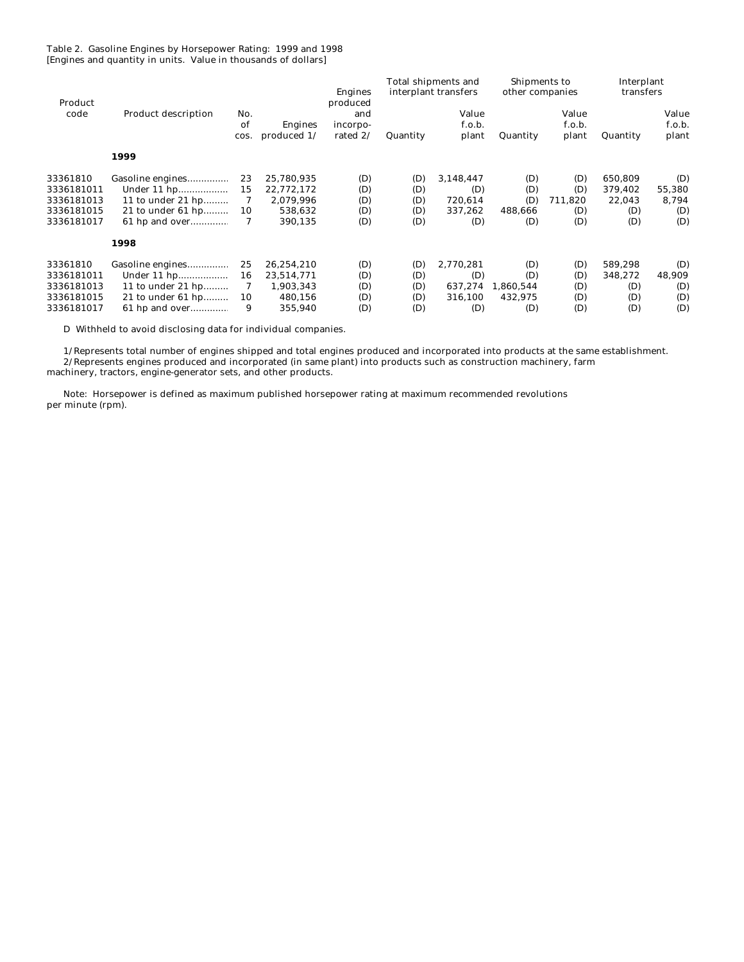Table 2. Gasoline Engines by Horsepower Rating: 1999 and 1998 [Engines and quantity in units. Value in thousands of dollars]

| Product    |                            |                   |                                 | <b>Engines</b><br>produced  |          | Total shipments and<br>interplant transfers | Shipments to<br>other companies |                          | Interplant<br>transfers |                          |
|------------|----------------------------|-------------------|---------------------------------|-----------------------------|----------|---------------------------------------------|---------------------------------|--------------------------|-------------------------|--------------------------|
| code       | <b>Product description</b> | No.<br>of<br>cos. | <b>Engines</b><br>produced $1/$ | and<br>incorpo-<br>rated 2/ | Quantity | Value<br>f.o.b.<br>plant                    | Quantity                        | Value<br>f.o.b.<br>plant | Quantity                | Value<br>f.o.b.<br>plant |
|            | 1999                       |                   |                                 |                             |          |                                             |                                 |                          |                         |                          |
| 33361810   | Gasoline engines           | 23                | 25,780,935                      | (D)                         | (D)      | 3,148,447                                   | (D)                             | (D)                      | 650,809                 | (D)                      |
| 3336181011 | Under 11 hp                | 15                | 22,772,172                      | (D)                         | (D)      | (D)                                         | (D)                             | (D)                      | 379,402                 | 55,380                   |
| 3336181013 | 11 to under 21 hp          | 7                 | 2,079,996                       | (D)                         | (D)      | 720,614                                     | (D)                             | 711,820                  | 22,043                  | 8,794                    |
| 3336181015 | 21 to under 61 hp          | 10                | 538,632                         | (D)                         | (D)      | 337,262                                     | 488,666                         | (D)                      | (D)                     | (D)                      |
| 3336181017 | 61 hp and over             | 7                 | 390,135                         | (D)                         | (D)      | (D)                                         | (D)                             | (D)                      | (D)                     | (D)                      |
|            | 1998                       |                   |                                 |                             |          |                                             |                                 |                          |                         |                          |
| 33361810   | Gasoline engines           | 25                | 26,254,210                      | (D)                         | (D)      | 2,770,281                                   | (D)                             | (D)                      | 589,298                 | (D)                      |
| 3336181011 | Under 11 hp                | 16                | 23,514,771                      | (D)                         | (D)      | (D)                                         | (D)                             | (D)                      | 348,272                 | 48,909                   |
| 3336181013 | 11 to under 21 hp          | 7                 | 1,903,343                       | (D)                         | (D)      | 637,274                                     | 1,860,544                       | (D)                      | (D)                     | (D)                      |
| 3336181015 | 21 to under 61 hp          | 10                | 480,156                         | (D)                         | (D)      | 316,100                                     | 432,975                         | (D)                      | (D)                     | (D)                      |
| 3336181017 | 61 hp and over             | 9                 | 355,940                         | (D)                         | (D)      | (D)                                         | (D)                             | (D)                      | (D)                     | (D)                      |

D Withheld to avoid disclosing data for individual companies.

 1/Represents total number of engines shipped and total engines produced and incorporated into products at the same establishment. 2/Represents engines produced and incorporated (in same plant) into products such as construction machinery, farm machinery, tractors, engine-generator sets, and other products.

 Note: Horsepower is defined as maximum published horsepower rating at maximum recommended revolutions per minute (rpm).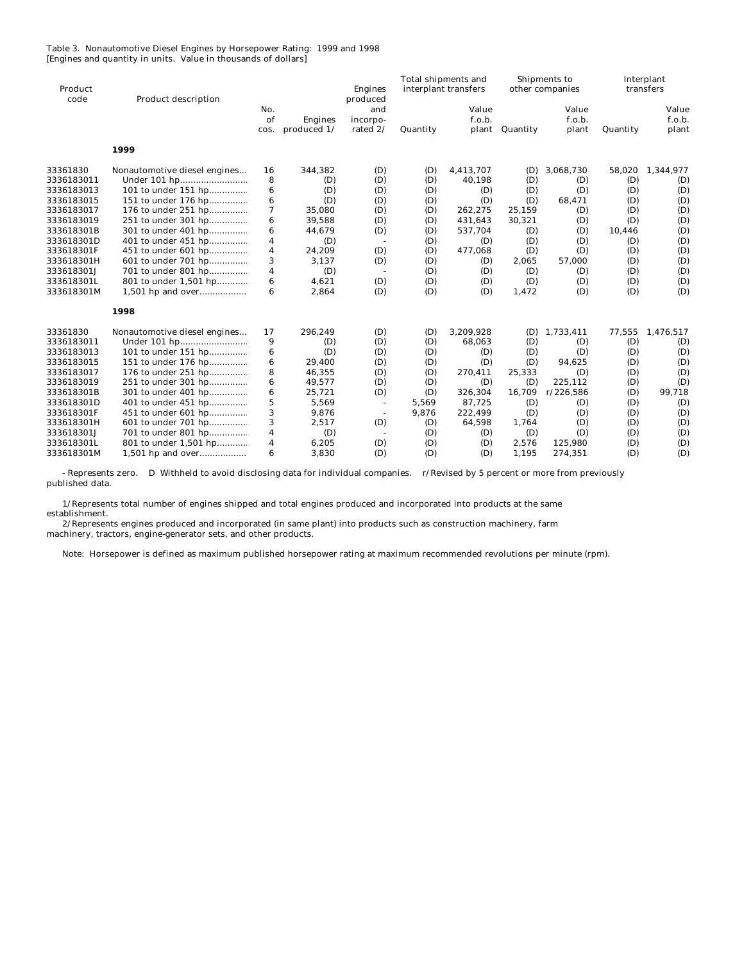#### Table 3. Nonautomotive Diesel Engines by Horsepower Rating: 1999 and 1998 [Engines and quantity in units. Value in thousands of dollars]

| Product<br>code | Product description          |                         |                               | <b>Engines</b><br>produced  | <b>Total shipments and</b><br>interplant transfers |                          | Shipments to<br>other companies |                          | Interplant<br>transfers |                          |
|-----------------|------------------------------|-------------------------|-------------------------------|-----------------------------|----------------------------------------------------|--------------------------|---------------------------------|--------------------------|-------------------------|--------------------------|
|                 |                              | No.<br>of<br>cos.       | <b>Engines</b><br>produced 1/ | and<br>incorpo-<br>rated 2/ | Quantity                                           | Value<br>f.o.b.<br>plant | Quantity                        | Value<br>f.o.b.<br>plant | Quantity                | Value<br>f.o.b.<br>plant |
|                 | 1999                         |                         |                               |                             |                                                    |                          |                                 |                          |                         |                          |
| 33361830        | Nonautomotive diesel engines | 16                      | 344,382                       | (D)                         | (D)                                                | 4,413,707                | (D)                             | 3,068,730                | 58,020                  | 1,344,977                |
| 3336183011      |                              | 8                       | (D)                           | (D)                         | (D)                                                | 40,198                   | (D)                             | (D)                      | (D)                     | (D)                      |
| 3336183013      | 101 to under 151 hp          | 6                       | (D)                           | (D)                         | (D)                                                | (D)                      | (D)                             | (D)                      | (D)                     | (D)                      |
| 3336183015      | 151 to under 176 hp          | $\bf{6}$                | (D)                           | (D)                         | (D)                                                | (D)                      | (D)                             | 68,471                   | (D)                     | (D)                      |
| 3336183017      | 176 to under 251 hp          | 7                       | 35,080                        | (D)                         | (D)                                                | 262,275                  | 25,159                          | (D)                      | (D)                     | (D)                      |
| 3336183019      | 251 to under 301 hp          | 6                       | 39,588                        | (D)                         | (D)                                                | 431,643                  | 30,321                          | (D)                      | (D)                     | (D)                      |
| 333618301B      | 301 to under 401 hp          | 6                       | 44,679                        | (D)                         | (D)                                                | 537,704                  | (D)                             | (D)                      | 10,446                  | (D)                      |
| 333618301D      | 401 to under 451 hp          | 4                       | (D)                           | $\sim$                      | (D)                                                | (D)                      | (D)                             | (D)                      | (D)                     | (D)                      |
| 333618301F      | 451 to under 601 hp          | $\overline{\mathbf{4}}$ | 24,209                        | (D)                         | (D)                                                | 477,068                  | (D)                             | (D)                      | (D)                     | (D)                      |
| 333618301H      | 601 to under 701 hp          | 3                       | 3,137                         | (D)                         | (D)                                                | (D)                      | 2,065                           | 57,000                   | (D)                     | (D)                      |
| 333618301J      | 701 to under 801 hp          | $\boldsymbol{4}$        | (D)                           | $\sim$                      | (D)                                                | (D)                      | (D)                             | (D)                      | (D)                     | (D)                      |
| 333618301L      | 801 to under 1,501 hp        | 6                       | 4,621                         | (D)                         | (D)                                                | (D)                      | (D)                             | (D)                      | (D)                     | (D)                      |
| 333618301M      | 1,501 hp and over            | 6                       | 2,864                         | (D)                         | (D)                                                | (D)                      | 1,472                           | (D)                      | (D)                     | (D)                      |
|                 | 1998                         |                         |                               |                             |                                                    |                          |                                 |                          |                         |                          |
| 33361830        | Nonautomotive diesel engines | 17                      | 296,249                       | (D)                         | (D)                                                | 3,209,928                | (D)                             | 1,733,411                | 77,555                  | 1,476,517                |
| 3336183011      |                              | 9                       | (D)                           | (D)                         | (D)                                                | 68,063                   | (D)                             | (D)                      | (D)                     | (D)                      |
| 3336183013      | 101 to under 151 hp          | 6                       | (D)                           | (D)                         | (D)                                                | (D)                      | (D)                             | (D)                      | (D)                     | (D)                      |
| 3336183015      | 151 to under 176 hp          | 6                       | 29,400                        | (D)                         | (D)                                                | (D)                      | (D)                             | 94,625                   | (D)                     | (D)                      |
| 3336183017      | 176 to under 251 hp          | 8                       | 46,355                        | (D)                         | (D)                                                | 270,411                  | 25,333                          | (D)                      | (D)                     | (D)                      |
| 3336183019      | 251 to under 301 hp          | 6                       | 49,577                        | (D)                         | (D)                                                | (D)                      | (D)                             | 225.112                  | (D)                     | (D)                      |
| 333618301B      | 301 to under 401 hp          | 6                       | 25,721                        | (D)                         | (D)                                                | 326,304                  | 16,709                          | r/226,586                | (D)                     | 99,718                   |
| 333618301D      | 401 to under 451 hp          | $\mathbf 5$             | 5,569                         | $\overline{\phantom{a}}$    | 5,569                                              | 87,725                   | (D)                             | (D)                      | (D)                     | (D)                      |
| 333618301F      | 451 to under 601 hp          | 3                       | 9,876                         | $\overline{\phantom{a}}$    | 9,876                                              | 222,499                  | (D)                             | (D)                      | (D)                     | (D)                      |
| 333618301H      | 601 to under 701 hp          | 3                       | 2,517                         | (D)                         | (D)                                                | 64,598                   | 1,764                           | (D)                      | (D)                     | (D)                      |
| 333618301J      | 701 to under 801 hp          | $\boldsymbol{4}$        | (D)                           | $\sim$                      | (D)                                                | (D)                      | (D)                             | (D)                      | (D)                     | (D)                      |
| 333618301L      | 801 to under 1,501 hp        | 4                       | 6,205                         | (D)                         | (D)                                                | (D)                      | 2,576                           | 125,980                  | (D)                     | (D)                      |
| 333618301M      | 1,501 hp and over            | 6                       | 3,830                         | (D)                         | (D)                                                | (D)                      | 1,195                           | 274,351                  | (D)                     | (D)                      |

 - Represents zero. D Withheld to avoid disclosing data for individual companies. r/Revised by 5 percent or more from previously published data.

 1/Represents total number of engines shipped and total engines produced and incorporated into products at the same establishment.

 2/Represents engines produced and incorporated (in same plant) into products such as construction machinery, farm machinery, tractors, engine-generator sets, and other products.

Note: Horsepower is defined as maximum published horsepower rating at maximum recommended revolutions per minute (rpm).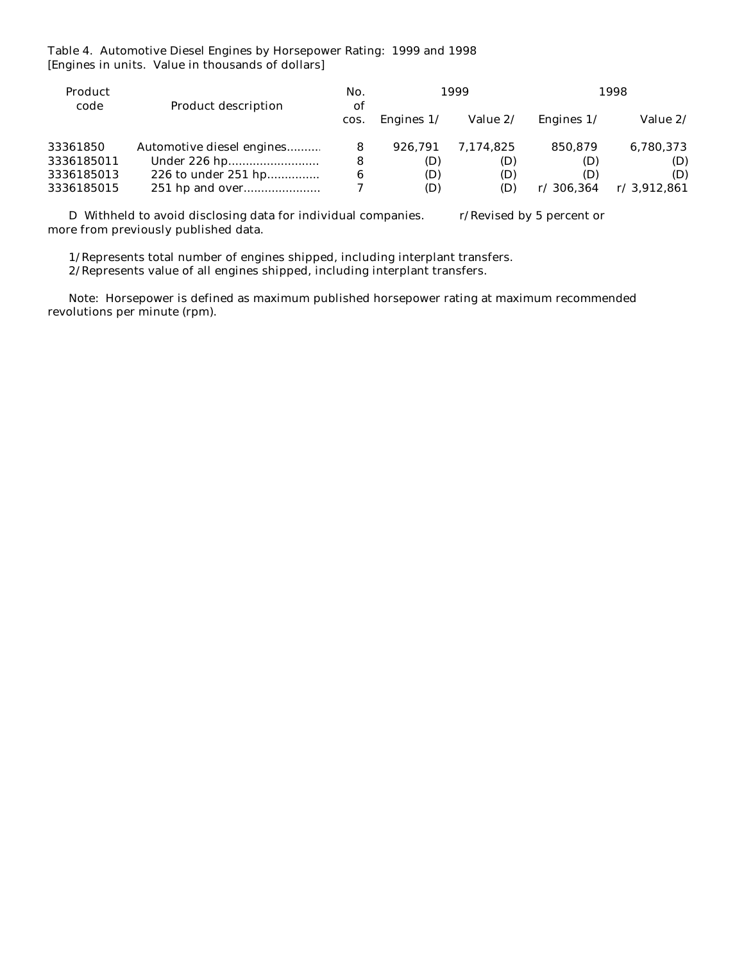Table 4. Automotive Diesel Engines by Horsepower Rating: 1999 and 1998 [Engines in units. Value in thousands of dollars]

| Product<br>code | <b>Product description</b> |      |              | 1999      |              | 1998        |  |
|-----------------|----------------------------|------|--------------|-----------|--------------|-------------|--|
|                 |                            | COS. | Engines $1/$ | Value 2/  | Engines $1/$ | Value 2/    |  |
| 33361850        | Automotive diesel engines  |      | 926.791      | 7.174.825 | 850,879      | 6,780,373   |  |
| 3336185011      |                            | 8    | (D)          | (D)       | (D)          | (D)         |  |
| 3336185013      | 226 to under 251 hp        | 6    | (D)          | (D)       | (D)          | (D)         |  |
| 3336185015      |                            |      | (D)          | (D)       | r/306.364    | r/3,912,861 |  |
|                 |                            |      |              |           |              |             |  |

D Withheld to avoid disclosing data for individual companies. r/Revised by 5 percent or more from previously published data.

1/Represents total number of engines shipped, including interplant transfers.

2/Represents value of all engines shipped, including interplant transfers.

 Note: Horsepower is defined as maximum published horsepower rating at maximum recommended revolutions per minute (rpm).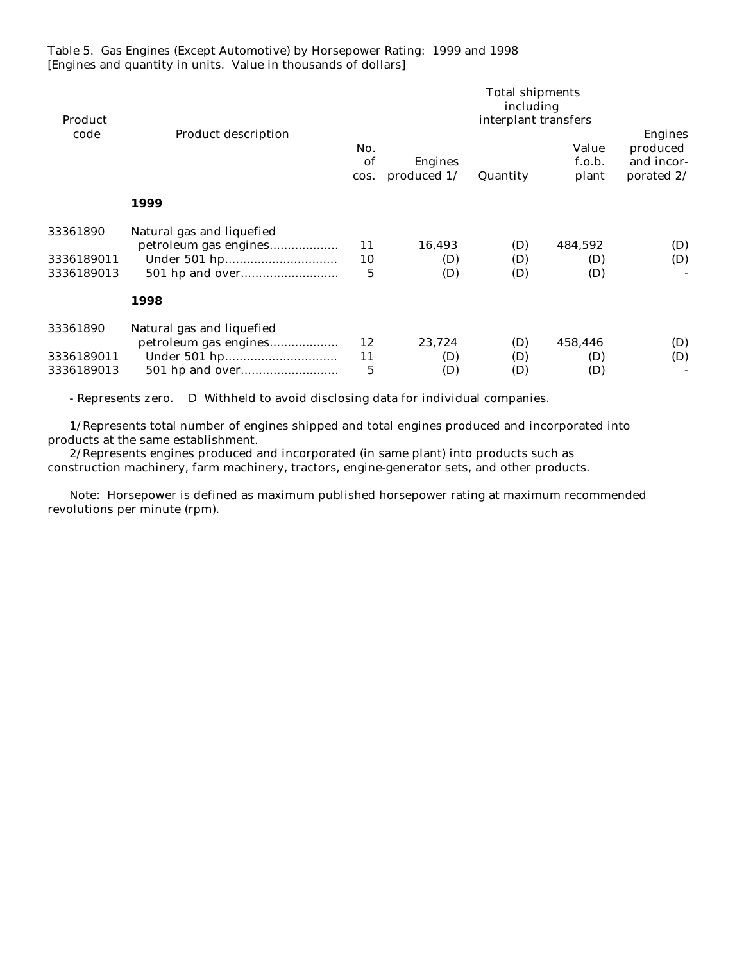Table 5. Gas Engines (Except Automotive) by Horsepower Rating: 1999 and 1998 [Engines and quantity in units. Value in thousands of dollars]

| Product    |                            |                   | <b>Total shipments</b><br>including<br>interplant transfers |          |                          |                                                 |  |  |  |
|------------|----------------------------|-------------------|-------------------------------------------------------------|----------|--------------------------|-------------------------------------------------|--|--|--|
| code       | <b>Product description</b> | No.<br>of<br>cos. | <b>Engines</b><br>produced 1/                               | Quantity | Value<br>f.o.b.<br>plant | Engines<br>produced<br>and incor-<br>porated 2/ |  |  |  |
|            | 1999                       |                   |                                                             |          |                          |                                                 |  |  |  |
| 33361890   | Natural gas and liquefied  |                   |                                                             |          |                          |                                                 |  |  |  |
|            | petroleum gas engines      | 11                | 16,493                                                      | (D)      | 484,592                  | (D)                                             |  |  |  |
| 3336189011 |                            | 10                | (D)                                                         | (D)      | (D)                      | (D)                                             |  |  |  |
| 3336189013 |                            | 5                 | (D)                                                         | (D)      | (D)                      |                                                 |  |  |  |
|            | 1998                       |                   |                                                             |          |                          |                                                 |  |  |  |
| 33361890   | Natural gas and liquefied  |                   |                                                             |          |                          |                                                 |  |  |  |
|            | petroleum gas engines      | 12                | 23,724                                                      | (D)      | 458,446                  | (D)                                             |  |  |  |
| 3336189011 |                            | 11                | (D)                                                         | (D)      | (D)                      | (D)                                             |  |  |  |
| 3336189013 |                            | 5                 | (D)                                                         | (D)      | (D)                      |                                                 |  |  |  |

- Represents zero. D Withheld to avoid disclosing data for individual companies.

 1/Represents total number of engines shipped and total engines produced and incorporated into products at the same establishment.

 2/Represents engines produced and incorporated (in same plant) into products such as construction machinery, farm machinery, tractors, engine-generator sets, and other products.

 Note: Horsepower is defined as maximum published horsepower rating at maximum recommended revolutions per minute (rpm).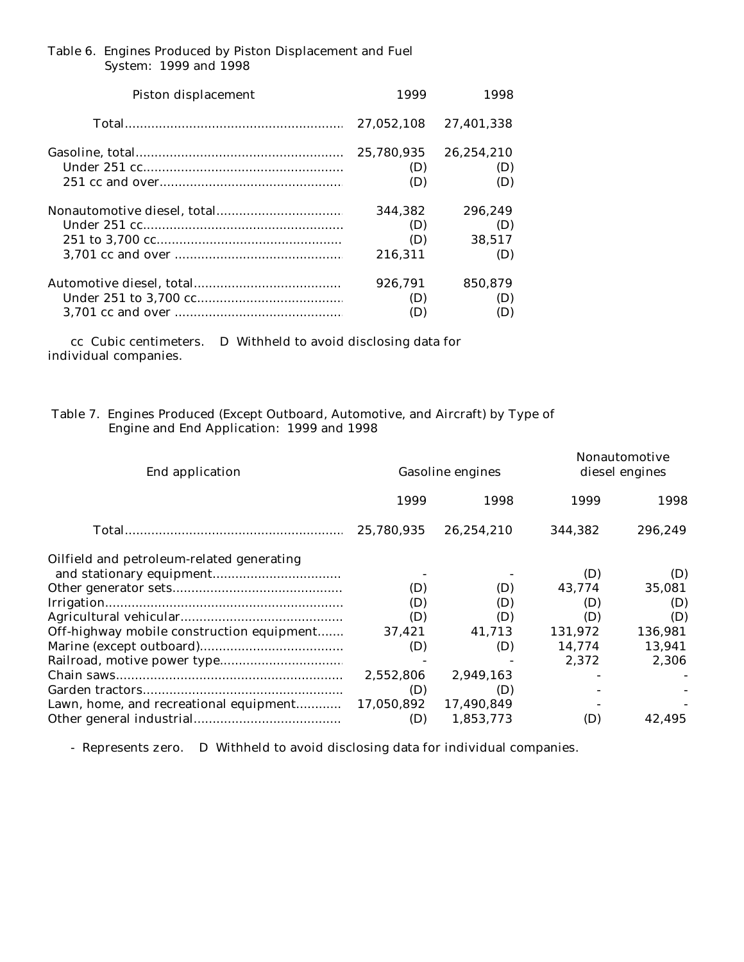### Table 6. Engines Produced by Piston Displacement and Fuel System: 1999 and 1998

| <b>Piston displacement</b> | 1999       | 1998       |  |
|----------------------------|------------|------------|--|
|                            | 27.052.108 | 27.401.338 |  |
|                            | 25.780.935 | 26.254.210 |  |
|                            | (D)        | (D)        |  |
|                            | (D)        | (D)        |  |
|                            | 344.382    | 296.249    |  |
|                            | (D)        | (D)        |  |
|                            | (D)        | 38.517     |  |
|                            | 216.311    | (D)        |  |
|                            | 926.791    | 850,879    |  |
|                            | (D)        | (D)        |  |
|                            | (D)        | (D)        |  |

 cc Cubic centimeters. D Withheld to avoid disclosing data for individual companies.

## Table 7. Engines Produced (Except Outboard, Automotive, and Aircraft) by Type of Engine and End Application: 1999 and 1998

| End application                           |            | <b>Gasoline engines</b> | <b>Nonautomotive</b><br>diesel engines |         |  |
|-------------------------------------------|------------|-------------------------|----------------------------------------|---------|--|
|                                           | 1999       | 1998                    | 1999                                   | 1998    |  |
|                                           | 25.780.935 | 26.254.210              | 344.382                                | 296,249 |  |
| Oilfield and petroleum-related generating |            |                         |                                        |         |  |
|                                           |            |                         | (D)                                    | (D)     |  |
|                                           | (D)        | (D)                     | 43,774                                 | 35,081  |  |
|                                           | (D)        | (D)                     | (D)                                    | (D)     |  |
|                                           | (D)        | (D)                     | (D)                                    | (D)     |  |
| Off-highway mobile construction equipment | 37,421     | 41,713                  | 131,972                                | 136,981 |  |
|                                           | (D)        | (D)                     | 14.774                                 | 13,941  |  |
|                                           |            |                         | 2.372                                  | 2,306   |  |
|                                           | 2,552,806  | 2,949,163               |                                        |         |  |
|                                           | (D)        | (D)                     |                                        |         |  |
| Lawn, home, and recreational equipment    | 17,050,892 | 17,490,849              |                                        |         |  |
|                                           | (D)        | 1,853,773               | (D)                                    | 42.495  |  |

- Represents zero. D Withheld to avoid disclosing data for individual companies.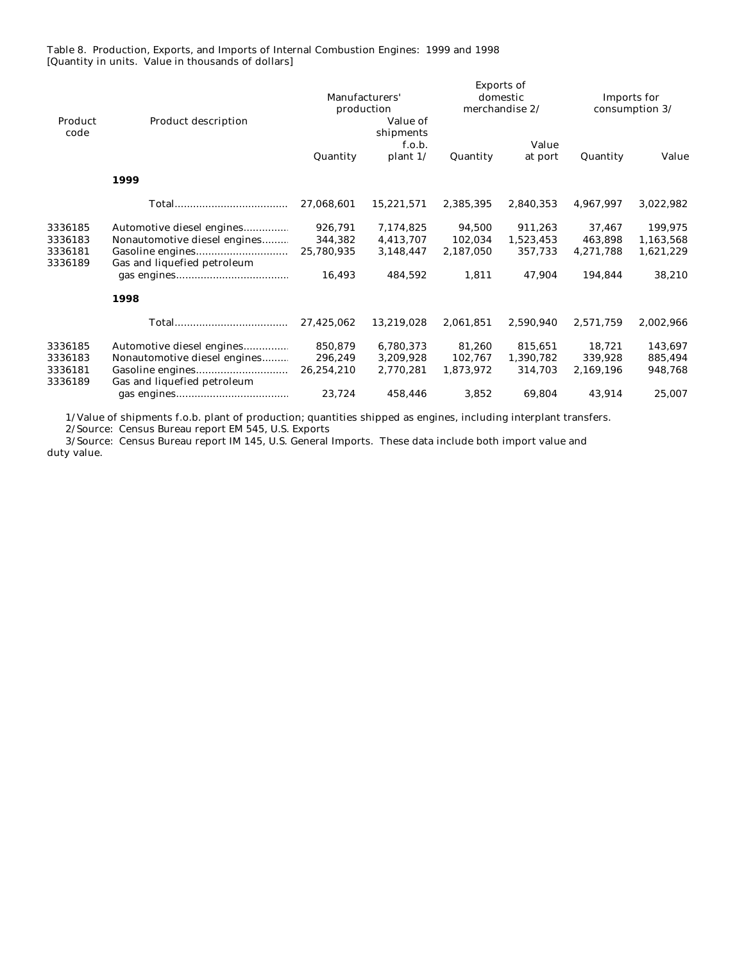Table 8. Production, Exports, and Imports of Internal Combustion Engines: 1999 and 1998 [Quantity in units. Value in thousands of dollars]

|         |                              | <b>Exports of</b> |                        |           |                |                |           |  |
|---------|------------------------------|-------------------|------------------------|-----------|----------------|----------------|-----------|--|
|         |                              | Manufacturers'    |                        |           | domestic       | Imports for    |           |  |
| Product |                              |                   | production<br>Value of |           | merchandise 2/ | consumption 3/ |           |  |
| code    | <b>Product description</b>   |                   | shipments              |           |                |                |           |  |
|         |                              |                   | f.o.b.                 |           | Value          |                |           |  |
|         |                              | Quantity          | plant $1/$             | Quantity  | at port        | Quantity       | Value     |  |
|         | 1999                         |                   |                        |           |                |                |           |  |
|         |                              | 27,068,601        | 15,221,571             | 2,385,395 | 2,840,353      | 4,967,997      | 3,022,982 |  |
| 3336185 | Automotive diesel engines    | 926.791           | 7,174,825              | 94,500    | 911.263        | 37.467         | 199,975   |  |
| 3336183 | Nonautomotive diesel engines | 344,382           | 4,413,707              | 102,034   | 1,523,453      | 463,898        | 1,163,568 |  |
| 3336181 |                              | 25,780,935        | 3,148,447              | 2,187,050 | 357,733        | 4,271,788      | 1,621,229 |  |
| 3336189 | Gas and liquefied petroleum  |                   |                        |           |                |                |           |  |
|         |                              | 16,493            | 484,592                | 1,811     | 47,904         | 194,844        | 38,210    |  |
|         | 1998                         |                   |                        |           |                |                |           |  |
|         |                              | 27,425,062        | 13,219,028             | 2,061,851 | 2,590,940      | 2,571,759      | 2,002,966 |  |
| 3336185 | Automotive diesel engines    | 850,879           | 6,780,373              | 81,260    | 815,651        | 18,721         | 143,697   |  |
| 3336183 | Nonautomotive diesel engines | 296,249           | 3,209,928              | 102,767   | 1,390,782      | 339,928        | 885,494   |  |
| 3336181 |                              | 26,254,210        | 2,770,281              | 1,873,972 | 314,703        | 2,169,196      | 948,768   |  |
| 3336189 | Gas and liquefied petroleum  |                   |                        |           |                |                |           |  |
|         |                              | 23,724            | 458,446                | 3,852     | 69,804         | 43,914         | 25,007    |  |
|         |                              |                   |                        |           |                |                |           |  |

1/Value of shipments f.o.b. plant of production; quantities shipped as engines, including interplant transfers.

2/Source: Census Bureau report EM 545, U.S. Exports

 3/Source: Census Bureau report IM 145, U.S. General Imports. These data include both import value and duty value.